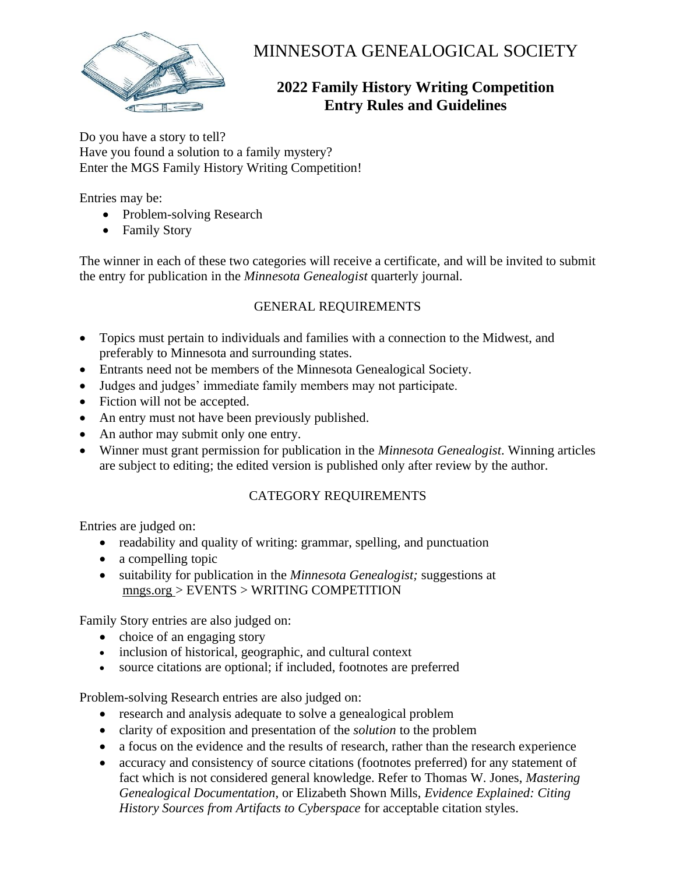

# MINNESOTA GENEALOGICAL SOCIETY

# **2022 Family History Writing Competition Entry Rules and Guidelines**

Do you have a story to tell? Have you found a solution to a family mystery? Enter the MGS Family History Writing Competition!

Entries may be:

- Problem-solving Research
- Family Story

The winner in each of these two categories will receive a certificate, and will be invited to submit the entry for publication in the *Minnesota Genealogist* quarterly journal.

## GENERAL REQUIREMENTS

- Topics must pertain to individuals and families with a connection to the Midwest, and preferably to Minnesota and surrounding states.
- Entrants need not be members of the Minnesota Genealogical Society.
- Judges and judges' immediate family members may not participate.
- Fiction will not be accepted.
- An entry must not have been previously published.
- An author may submit only one entry.
- Winner must grant permission for publication in the *Minnesota Genealogist*. Winning articles are subject to editing; the edited version is published only after review by the author.

### CATEGORY REQUIREMENTS

Entries are judged on:

- readability and quality of writing: grammar, spelling, and punctuation
- a compelling topic
- suitability for publication in the *Minnesota Genealogist;* suggestions at mngs.org > EVENTS > WRITING COMPETITION

Family Story entries are also judged on:

- choice of an engaging story
- inclusion of historical, geographic, and cultural context
- source citations are optional; if included, footnotes are preferred

Problem-solving Research entries are also judged on:

- research and analysis adequate to solve a genealogical problem
- clarity of exposition and presentation of the *solution* to the problem
- a focus on the evidence and the results of research, rather than the research experience
- accuracy and consistency of source citations (footnotes preferred) for any statement of fact which is not considered general knowledge. Refer to Thomas W. Jones, *Mastering Genealogical Documentation*, or Elizabeth Shown Mills, *Evidence Explained: Citing History Sources from Artifacts to Cyberspace* for acceptable citation styles.